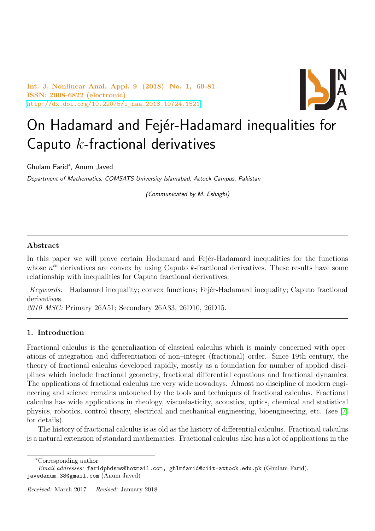Int. J. Nonlinear Anal. Appl. 9 (2018) No. 1, 69-81 ISSN: 2008-6822 (electronic) <http://dx.doi.org/10.22075/ijnaa.2018.10724.1521>



# On Hadamard and Fejér-Hadamard inequalities for Caputo  $k$ -fractional derivatives

Ghulam Farid<sup>∗</sup> , Anum Javed

Department of Mathematics, COMSATS University Islamabad, Attock Campus, Pakistan

(Communicated by M. Eshaghi)

## Abstract

In this paper we will prove certain Hadamard and Fejer-Hadamard inequalities for the functions whose  $n<sup>th</sup>$  derivatives are convex by using Caputo k-fractional derivatives. These results have some relationship with inequalities for Caputo fractional derivatives.

Keywords: Hadamard inequality; convex functions; Fejér-Hadamard inequality; Caputo fractional derivatives.

2010 MSC: Primary 26A51; Secondary 26A33, 26D10, 26D15.

## 1. Introduction

Fractional calculus is the generalization of classical calculus which is mainly concerned with operations of integration and differentiation of non–integer (fractional) order. Since 19th century, the theory of fractional calculus developed rapidly, mostly as a foundation for number of applied disciplines which include fractional geometry, fractional differential equations and fractional dynamics. The applications of fractional calculus are very wide nowadays. Almost no discipline of modern engineering and science remains untouched by the tools and techniques of fractional calculus. Fractional calculus has wide applications in rheology, viscoelasticity, acoustics, optics, chemical and statistical physics, robotics, control theory, electrical and mechanical engineering, bioengineering, etc. (see [\[7\]](#page-12-0) for details).

The history of fractional calculus is as old as the history of differential calculus. Fractional calculus is a natural extension of standard mathematics. Fractional calculus also has a lot of applications in the

<sup>∗</sup>Corresponding author

Email addresses: faridphdsms@hotmail.com, ghlmfarid@ciit-attock.edu.pk (Ghulam Farid), javedanum.38@gmail.com (Anum Javed)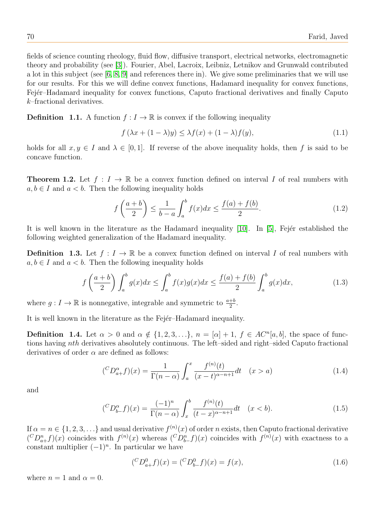fields of science counting rheology, fluid flow, diffusive transport, electrical networks, electromagnetic theory and probability (see [\[3\]](#page-12-1)). Fourier, Abel, Lacroix, Leibniz, Letnikov and Grunwald contributed a lot in this subject (see [\[6,](#page-12-2) [8,](#page-12-3) [9\]](#page-12-4) and references there in). We give some preliminaries that we will use for our results. For this we will define convex functions, Hadamard inequality for convex functions, Fejér–Hadamard inequality for convex functions, Caputo fractional derivatives and finally Caputo k–fractional derivatives.

**Definition 1.1.** A function  $f: I \to \mathbb{R}$  is convex if the following inequality

$$
f\left(\lambda x + (1 - \lambda)y\right) \le \lambda f(x) + (1 - \lambda)f(y),\tag{1.1}
$$

holds for all  $x, y \in I$  and  $\lambda \in [0, 1]$ . If reverse of the above inequality holds, then f is said to be concave function.

**Theorem 1.2.** Let  $f: I \to \mathbb{R}$  be a convex function defined on interval I of real numbers with  $a, b \in I$  and  $a < b$ . Then the following inequality holds

$$
f\left(\frac{a+b}{2}\right) \le \frac{1}{b-a} \int_a^b f(x)dx \le \frac{f(a)+f(b)}{2}.\tag{1.2}
$$

It is well known in the literature as the Hadamard inequality  $[10]$ . In  $[5]$ , Fejér established the following weighted generalization of the Hadamard inequality.

**Definition 1.3.** Let  $f: I \to \mathbb{R}$  be a convex function defined on interval I of real numbers with  $a, b \in I$  and  $a < b$ . Then the following inequality holds

$$
f\left(\frac{a+b}{2}\right)\int_{a}^{b}g(x)dx \le \int_{a}^{b}f(x)g(x)dx \le \frac{f(a)+f(b)}{2}\int_{a}^{b}g(x)dx,\tag{1.3}
$$

where  $g: I \to \mathbb{R}$  is nonnegative, integrable and symmetric to  $\frac{a+b}{2}$ .

It is well known in the literature as the Fejer–Hadamard inequality.

**Definition** 1.4. Let  $\alpha > 0$  and  $\alpha \notin \{1, 2, 3, ...\}$ ,  $n = [\alpha] + 1$ ,  $f \in AC^n[a, b]$ , the space of functions having nth derivatives absolutely continuous. The left–sided and right–sided Caputo fractional derivatives of order  $\alpha$  are defined as follows:

$$
({}^C D_{a+}^{\alpha} f)(x) = \frac{1}{\Gamma(n-\alpha)} \int_a^x \frac{f^{(n)}(t)}{(x-t)^{\alpha-n+1}} dt \quad (x > a)
$$
 (1.4)

and

$$
({}^C D_{b-}^{\alpha} f)(x) = \frac{(-1)^n}{\Gamma(n-\alpha)} \int_x^b \frac{f^{(n)}(t)}{(t-x)^{\alpha-n+1}} dt \quad (x < b).
$$
 (1.5)

If  $\alpha = n \in \{1, 2, 3, \ldots\}$  and usual derivative  $f^{(n)}(x)$  of order n exists, then Caputo fractional derivative  $({}^C D_{a+}^n f)(x)$  coincides with  $f^{(n)}(x)$  whereas  $({}^C D_{b-}^n f)(x)$  coincides with  $f^{(n)}(x)$  with exactness to a constant multiplier  $(-1)^n$ . In particular we have

$$
({}^{C}D_{a+}^{0}f)(x) = ({}^{C}D_{b-}^{0}f)(x) = f(x), \qquad (1.6)
$$

where  $n = 1$  and  $\alpha = 0$ .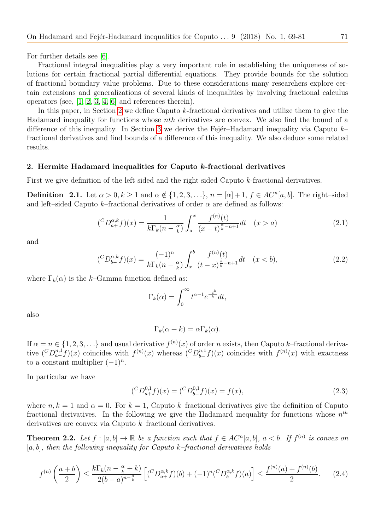For further details see [\[6\]](#page-12-2).

Fractional integral inequalities play a very important role in establishing the uniqueness of solutions for certain fractional partial differential equations. They provide bounds for the solution of fractional boundary value problems. Due to these considerations many researchers explore certain extensions and generalizations of several kinds of inequalities by involving fractional calculus operators (see, [\[1,](#page-12-7) [2,](#page-12-8) [3,](#page-12-1) [4,](#page-12-9) [6\]](#page-12-2) and references therein).

In this paper, in Section [2](#page-2-0) we define Caputo k-fractional derivatives and utilize them to give the Hadamard inequality for functions whose nth derivatives are convex. We also find the bound of a difference of this inequality. In Section [3](#page-5-0) we derive the Fejer–Hadamard inequality via Caputo  $k$ fractional derivatives and find bounds of a difference of this inequality. We also deduce some related results.

#### <span id="page-2-0"></span>2. Hermite Hadamard inequalities for Caputo k-fractional derivatives

First we give definition of the left sided and the right sided Caputo k-fractional derivatives.

**Definition** 2.1. Let  $\alpha > 0, k \ge 1$  and  $\alpha \notin \{1, 2, 3, \ldots\}, n = [\alpha] + 1, f \in AC^n[a, b]$ . The right-sided and left–sided Caputo k–fractional derivatives of order  $\alpha$  are defined as follows:

$$
({}^C D_{a+}^{\alpha,k} f)(x) = \frac{1}{k \Gamma_k (n - \frac{\alpha}{k})} \int_a^x \frac{f^{(n)}(t)}{(x - t)^{\frac{\alpha}{k} - n + 1}} dt \quad (x > a)
$$
 (2.1)

and

$$
({}^C D_{b-}^{\alpha,k} f)(x) = \frac{(-1)^n}{k \Gamma_k (n - \frac{\alpha}{k})} \int_x^b \frac{f^{(n)}(t)}{(t - x)^{\frac{\alpha}{k} - n + 1}} dt \quad (x < b), \tag{2.2}
$$

where  $\Gamma_k(\alpha)$  is the k–Gamma function defined as:

$$
\Gamma_k(\alpha) = \int_0^\infty t^{\alpha - 1} e^{\frac{-t^k}{k}} dt,
$$

also

$$
\Gamma_k(\alpha + k) = \alpha \Gamma_k(\alpha).
$$

If  $\alpha = n \in \{1, 2, 3, \ldots\}$  and usual derivative  $f^{(n)}(x)$  of order n exists, then Caputo k–fractional derivative  $({}^C D_{a+}^{n,1} f)(x)$  coincides with  $f^{(n)}(x)$  whereas  $({}^C D_{b-}^{n,1}$  $f_{b-}^{n,1}(x)$  coincides with  $f^{(n)}(x)$  with exactness to a constant multiplier  $(-1)^n$ .

In particular we have

<span id="page-2-1"></span>
$$
({}^{C}D_{a+}^{0,1}f)(x) = ({}^{C}D_{b-}^{0,1}f)(x) = f(x), \tag{2.3}
$$

where  $n, k = 1$  and  $\alpha = 0$ . For  $k = 1$ , Caputo k–fractional derivatives give the definition of Caputo fractional derivatives. In the following we give the Hadamard inequality for functions whose  $n^{th}$ derivatives are convex via Caputo k–fractional derivatives.

**Theorem 2.2.** Let  $f : [a, b] \to \mathbb{R}$  be a function such that  $f \in AC^n[a, b]$ ,  $a < b$ . If  $f^{(n)}$  is convex on  $[a, b]$ , then the following inequality for Caputo k–fractional derivatives holds

$$
f^{(n)}\left(\frac{a+b}{2}\right) \le \frac{k\Gamma_k(n-\frac{\alpha}{k}+k)}{2(b-a)^{n-\frac{\alpha}{k}}}\left[ ({}^C D_{a+}^{\alpha,k}f)(b) + (-1)^n ({}^C D_{b-}^{\alpha,k}f)(a) \right] \le \frac{f^{(n)}(a) + f^{(n)}(b)}{2}.\tag{2.4}
$$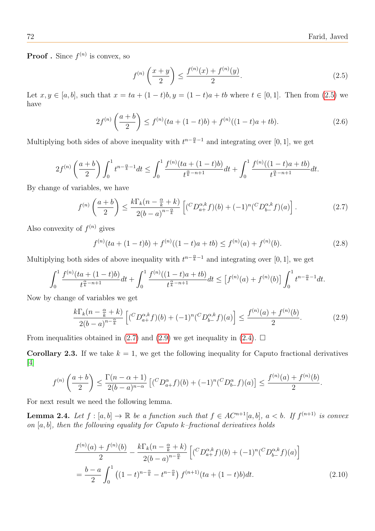**Proof**. Since  $f^{(n)}$  is convex, so

<span id="page-3-4"></span><span id="page-3-1"></span><span id="page-3-0"></span>
$$
f^{(n)}\left(\frac{x+y}{2}\right) \le \frac{f^{(n)}(x) + f^{(n)}(y)}{2}.
$$
\n(2.5)

Let  $x, y \in [a, b]$ , such that  $x = ta + (1-t)b$ ,  $y = (1-t)a + tb$  where  $t \in [0, 1]$ . Then from [\(2.5\)](#page-3-0) we have

$$
2f^{(n)}\left(\frac{a+b}{2}\right) \le f^{(n)}(ta+(1-t)b) + f^{(n)}((1-t)a+tb). \tag{2.6}
$$

Multiplying both sides of above inequality with  $t^{n-\frac{\alpha}{k}-1}$  and integrating over [0, 1], we get

$$
2f^{(n)}\left(\frac{a+b}{2}\right)\int_0^1 t^{n-\frac{\alpha}{k}-1}dt \le \int_0^1 \frac{f^{(n)}(ta+(1-t)b)}{t^{\frac{\alpha}{k}-n+1}}dt + \int_0^1 \frac{f^{(n)}((1-t)a+tb)}{t^{\frac{\alpha}{k}-n+1}}dt.
$$

By change of variables, we have

$$
f^{(n)}\left(\frac{a+b}{2}\right) \le \frac{k\Gamma_k(n-\frac{\alpha}{k}+k)}{2(b-a)^{n-\frac{\alpha}{k}}}\left[ ({}^C D_{a+}^{\alpha,k}f)(b) + (-1)^n ({}^C D_{b-}^{\alpha,k}f)(a) \right].
$$
 (2.7)

Also convexity of  $f^{(n)}$  gives

<span id="page-3-5"></span><span id="page-3-2"></span>
$$
f^{(n)}(ta + (1-t)b) + f^{(n)}((1-t)a + tb) \le f^{(n)}(a) + f^{(n)}(b). \tag{2.8}
$$

Multiplying both sides of above inequality with  $t^{n-\frac{\alpha}{k}-1}$  and integrating over [0, 1], we get

$$
\int_0^1 \frac{f^{(n)}(ta + (1-t)b)}{t^{\frac{\alpha}{k} - n + 1}} dt + \int_0^1 \frac{f^{(n)}((1-t)a + tb)}{t^{\frac{\alpha}{k} - n + 1}} dt \leq \left[ f^{(n)}(a) + f^{(n)}(b) \right] \int_0^1 t^{n - \frac{\alpha}{k} - 1} dt.
$$

Now by change of variables we get

$$
\frac{k\Gamma_k(n-\frac{\alpha}{k}+k)}{2(b-a)^{n-\frac{\alpha}{k}}} \left[ \binom{C}{2a+1}^{a,k} f\left((b)+(1)^n \binom{C}{2a+1}^{a,k} f\left((a)\right) \right) \le \frac{f^{(n)}(a)+f^{(n)}(b)}{2}.
$$
\n(2.9)

From inequalities obtained in [\(2.7\)](#page-3-1) and [\(2.9\)](#page-3-2) we get inequality in [\(2.4\)](#page-2-1).  $\Box$ 

**Corollary 2.3.** If we take  $k = 1$ , we get the following inequality for Caputo fractional derivatives [\[4\]](#page-12-9)

$$
f^{(n)}\left(\frac{a+b}{2}\right) \le \frac{\Gamma(n-\alpha+1)}{2(b-a)^{n-\alpha}}\left[({}^C D_{a+}^{\alpha}f)(b) + (-1)^n({}^C D_{b-}^{\alpha}f)(a)\right] \le \frac{f^{(n)}(a) + f^{(n)}(b)}{2}.
$$

For next result we need the following lemma.

**Lemma 2.4.** Let  $f : [a, b] \to \mathbb{R}$  be a function such that  $f \in AC^{n+1}[a, b]$ ,  $a < b$ . If  $f^{(n+1)}$  is convex on  $[a, b]$ , then the following equality for Caputo k–fractional derivatives holds

<span id="page-3-3"></span>
$$
\frac{f^{(n)}(a) + f^{(n)}(b)}{2} - \frac{k\Gamma_k(n - \frac{\alpha}{k} + k)}{2(b - a)^{n - \frac{\alpha}{k}}} \left[ ({}^{C}D_{a+}^{\alpha,k}f)(b) + (-1)^n ({}^{C}D_{b-}^{\alpha,k}f)(a) \right]
$$

$$
= \frac{b - a}{2} \int_0^1 \left( (1 - t)^{n - \frac{\alpha}{k}} - t^{n - \frac{\alpha}{k}} \right) f^{(n+1)}(ta + (1 - t)b) dt. \tag{2.10}
$$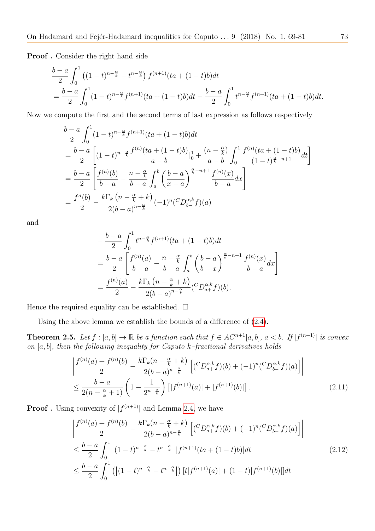Proof . Consider the right hand side

$$
\frac{b-a}{2} \int_0^1 \left( (1-t)^{n-\frac{\alpha}{k}} - t^{n-\frac{\alpha}{k}} \right) f^{(n+1)}(ta + (1-t)b) dt
$$
  
= 
$$
\frac{b-a}{2} \int_0^1 (1-t)^{n-\frac{\alpha}{k}} f^{(n+1)}(ta + (1-t)b) dt - \frac{b-a}{2} \int_0^1 t^{n-\frac{\alpha}{k}} f^{(n+1)}(ta + (1-t)b) dt.
$$

Now we compute the first and the second terms of last expression as follows respectively

$$
\frac{b-a}{2} \int_0^1 (1-t)^{n-\frac{\alpha}{k}} f^{(n+1)}(ta + (1-t)b) dt
$$
\n
$$
= \frac{b-a}{2} \left[ (1-t)^{n-\frac{\alpha}{k}} \frac{f^{(n)}(ta + (1-t)b)}{a-b} \Big|_0^1 + \frac{(n-\frac{\alpha}{k})}{a-b} \int_0^1 \frac{f^{(n)}(ta + (1-t)b)}{(1-t)^{\frac{\alpha}{k}-n+1}} dt \right]
$$
\n
$$
= \frac{b-a}{2} \left[ \frac{f^{(n)}(b)}{b-a} - \frac{n-\frac{\alpha}{k}}{b-a} \int_a^b \left( \frac{b-a}{x-a} \right)^{\frac{\alpha}{k}-n+1} \frac{f^{(n)}(x)}{b-a} dx \right]
$$
\n
$$
= \frac{f^n(b)}{2} - \frac{k \Gamma_k (n-\frac{\alpha}{k}+k)}{2(b-a)^{n-\frac{\alpha}{k}}} (-1)^n (^C D_{b-}^{\alpha,k} f)(a)
$$

and

$$
-\frac{b-a}{2} \int_0^1 t^{n-\frac{\alpha}{k}} f^{(n+1)}(ta + (1-t)b) dt
$$
  
=  $\frac{b-a}{2} \left[ \frac{f^{(n)}(a)}{b-a} - \frac{n-\frac{\alpha}{k}}{b-a} \int_a^b \left( \frac{b-a}{b-x} \right)^{\frac{\alpha}{k}-n+1} \frac{f^{(n)}(x)}{b-a} dx \right]$   
=  $\frac{f^{(n)}(a)}{2} - \frac{k \Gamma_k (n-\frac{\alpha}{k}+k)}{2(b-a)^{n-\frac{\alpha}{k}}} ({}^C D_{a+}^{\alpha,k} f)(b).$ 

Hence the required equality can be established.  $\square$ 

Using the above lemma we establish the bounds of a difference of [\(2.4\)](#page-2-1).

**Theorem 2.5.** Let  $f : [a, b] \to \mathbb{R}$  be a function such that  $f \in AC^{n+1}[a, b]$ ,  $a < b$ . If  $|f^{(n+1)}|$  is convex on  $[a, b]$ , then the following inequality for Caputo k–fractional derivatives holds

$$
\left| \frac{f^{(n)}(a) + f^{(n)}(b)}{2} - \frac{k \Gamma_k (n - \frac{\alpha}{k} + k)}{2(b - a)^{n - \frac{\alpha}{k}}} \left[ ({}^C D_{a+}^{\alpha, k} f)(b) + (-1)^n ({}^C D_{b-}^{\alpha, k} f)(a) \right] \right|
$$
  

$$
\leq \frac{b - a}{2(n - \frac{\alpha}{k} + 1)} \left( 1 - \frac{1}{2^{n - \frac{\alpha}{k}}} \right) \left[ |f^{(n+1)}(a)| + |f^{(n+1)}(b)| \right]. \tag{2.11}
$$

**Proof**. Using convexity of  $|f^{(n+1)}|$  and Lemma [2.4,](#page-3-3) we have

<span id="page-4-0"></span>
$$
\left| \frac{f^{(n)}(a) + f^{(n)}(b)}{2} - \frac{k \Gamma_k (n - \frac{\alpha}{k} + k)}{2(b - a)^{n - \frac{\alpha}{k}}} \left[ ({}^{C}D_{a+}^{\alpha,k}f)(b) + (-1)^n ({}^{C}D_{b-}^{\alpha,k}f)(a) \right] \right|
$$
\n
$$
\leq \frac{b - a}{2} \int_0^1 \left| (1 - t)^{n - \frac{\alpha}{k}} - t^{n - \frac{\alpha}{k}} \right| |f^{(n+1)}(ta + (1 - t)b)| dt
$$
\n
$$
\leq \frac{b - a}{2} \int_0^1 \left( |(1 - t)^{n - \frac{\alpha}{k}} - t^{n - \frac{\alpha}{k}}| \right) [t|f^{(n+1)}(a)| + (1 - t)|f^{(n+1)}(b)|] dt
$$
\n(2.12)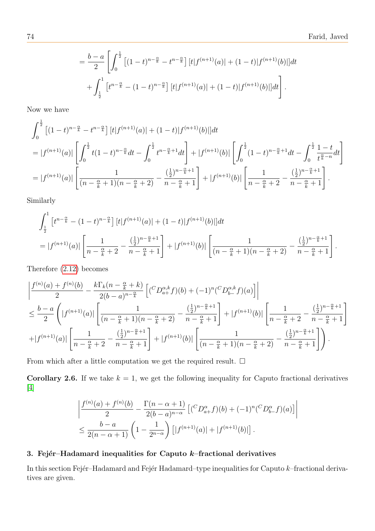$$
= \frac{b-a}{2} \left[ \int_0^{\frac{1}{2}} \left[ (1-t)^{n-\frac{\alpha}{k}} - t^{n-\frac{\alpha}{k}} \right] [t|f^{(n+1)}(a)| + (1-t)|f^{(n+1)}(b)|] dt + \int_{\frac{1}{2}}^1 \left[ t^{n-\frac{\alpha}{k}} - (1-t)^{n-\frac{\alpha}{k}} \right] [t|f^{(n+1)}(a)| + (1-t)|f^{(n+1)}(b)|] dt \right].
$$

Now we have

$$
\int_0^{\frac{1}{2}} \left[ (1-t)^{n-\frac{\alpha}{k}} - t^{n-\frac{\alpha}{k}} \right] \left[ t \right] f^{(n+1)}(a) \left| + (1-t) \right] f^{(n+1)}(b) \left| \right] dt
$$
\n
$$
= |f^{(n+1)}(a)| \left[ \int_0^{\frac{1}{2}} t (1-t)^{n-\frac{\alpha}{k}} dt - \int_0^{\frac{1}{2}} t^{n-\frac{\alpha}{k}+1} dt \right] + |f^{(n+1)}(b)| \left[ \int_0^{\frac{1}{2}} (1-t)^{n-\frac{\alpha}{k}+1} dt - \int_0^{\frac{1}{2}} \frac{1-t}{t^{\frac{\alpha}{k}-n}} dt \right]
$$
\n
$$
= |f^{(n+1)}(a)| \left[ \frac{1}{(n-\frac{\alpha}{k}+1)(n-\frac{\alpha}{k}+2)} - \frac{(\frac{1}{2})^{n-\frac{\alpha}{k}+1}}{n-\frac{\alpha}{k}+1} \right] + |f^{(n+1)}(b)| \left[ \frac{1}{n-\frac{\alpha}{k}+2} - \frac{(\frac{1}{2})^{n-\frac{\alpha}{k}+1}}{n-\frac{\alpha}{k}+1} \right].
$$

Similarly

$$
\int_{\frac{1}{2}}^{1} \left[ t^{n-\frac{\alpha}{k}} - (1-t)^{n-\frac{\alpha}{k}} \right] \left[ t \right] f^{(n+1)}(a) \left[ (1-t) \right] f^{(n+1)}(b) \left[ \left| dt \right. \\ = \left| f^{(n+1)}(a) \right| \left[ \frac{1}{n-\frac{\alpha}{k}+2} - \frac{\left(\frac{1}{2}\right)^{n-\frac{\alpha}{k}+1}}{n-\frac{\alpha}{k}+1} \right] + \left| f^{(n+1)}(b) \right| \left[ \frac{1}{(n-\frac{\alpha}{k}+1)(n-\frac{\alpha}{k}+2)} - \frac{\left(\frac{1}{2}\right)^{n-\frac{\alpha}{k}+1}}{n-\frac{\alpha}{k}+1} \right].
$$

Therefore [\(2.12\)](#page-4-0) becomes

$$
\frac{\left|f^{(n)}(a) + f^{(n)}(b)\right|}{2} - \frac{k\Gamma_k(n - \frac{\alpha}{k} + k)}{2(b - a)^{n - \frac{\alpha}{k}}}\left[\left(\frac{C}{2a + b}\right)(b) + (-1)^n\left(\frac{C}{2a + b}\right)(a)\right]\right|
$$
\n
$$
\leq \frac{b - a}{2}\left(\left|f^{(n+1)}(a)\right|\left[\frac{1}{(n - \frac{\alpha}{k} + 1)(n - \frac{\alpha}{k} + 2)} - \frac{(\frac{1}{2})^{n - \frac{\alpha}{k} + 1}}{n - \frac{\alpha}{k} + 1}\right] + \left|f^{(n+1)}(b)\right|\left[\frac{1}{n - \frac{\alpha}{k} + 2} - \frac{(\frac{1}{2})^{n - \frac{\alpha}{k} + 1}}{n - \frac{\alpha}{k} + 1}\right]
$$
\n
$$
+ \left|f^{(n+1)}(a)\right|\left[\frac{1}{n - \frac{\alpha}{k} + 2} - \frac{(\frac{1}{2})^{n - \frac{\alpha}{k} + 1}}{n - \frac{\alpha}{k} + 1}\right] + \left|f^{(n+1)}(b)\right|\left[\frac{1}{(n - \frac{\alpha}{k} + 1)(n - \frac{\alpha}{k} + 2)} - \frac{(\frac{1}{2})^{n - \frac{\alpha}{k} + 1}}{n - \frac{\alpha}{k} + 1}\right].
$$

From which after a little computation we get the required result.  $\Box$ 

**Corollary 2.6.** If we take  $k = 1$ , we get the following inequality for Caputo fractional derivatives [\[4\]](#page-12-9)

$$
\left| \frac{f^{(n)}(a) + f^{(n)}(b)}{2} - \frac{\Gamma(n - \alpha + 1)}{2(b - a)^{n - \alpha}} \left[ ({}^{C}D_{a+}^{\alpha} f)(b) + (-1)^n ({}^{C}D_{b-}^{\alpha} f)(a) \right] \right|
$$
  

$$
\leq \frac{b - a}{2(n - \alpha + 1)} \left( 1 - \frac{1}{2^{n - \alpha}} \right) \left[ |f^{(n+1)}(a)| + |f^{(n+1)}(b)| \right].
$$

## <span id="page-5-0"></span>3. Fejér–Hadamard inequalities for Caputo  $k$ –fractional derivatives

<span id="page-5-1"></span>In this section Fejér–Hadamard and Fejér Hadamard–type inequalities for Caputo  $k$ –fractional derivatives are given.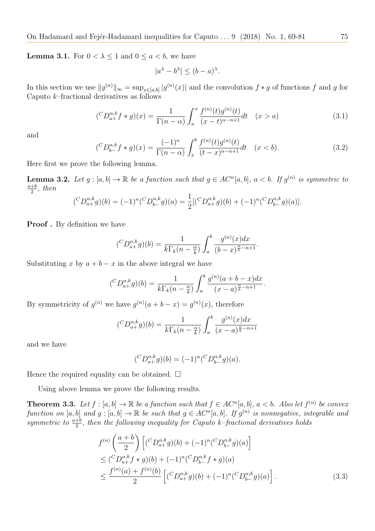**Lemma 3.1.** For  $0 < \lambda \leq 1$  and  $0 \leq a < b$ , we have

$$
|a^{\lambda} - b^{\lambda}| \le (b - a)^{\lambda}.
$$

In this section we use  $||g^{(n)}||_{\infty} = \sup_{x \in [a,b]} |g^{(n)}(x)|$  and the convolution  $f * g$  of functions f and g for Caputo  $k$ –fractional derivatives as follows

$$
({}^C D_{a+}^{\alpha,k} f * g)(x) = \frac{1}{\Gamma(n-\alpha)} \int_a^x \frac{f^{(n)}(t)g^{(n)}(t)}{(x-t)^{\alpha-n+1}} dt \quad (x > a)
$$
\n(3.1)

and

$$
({}^C D_{b-}^{\alpha,k} f * g)(x) = \frac{(-1)^n}{\Gamma(n-\alpha)} \int_x^b \frac{f^{(n)}(t)g^{(n)}(t)}{(t-x)^{\alpha-n+1}} dt \quad (x < b).
$$
 (3.2)

Here first we prove the following lemma.

<span id="page-6-0"></span>**Lemma 3.2.** Let  $g:[a,b] \to \mathbb{R}$  be a function such that  $g \in AC^n[a,b], a < b$ . If  $g^{(n)}$  is symmetric to  $\frac{a+b}{b}$  $\frac{+b}{2}$ , then

$$
({}^C D_{a+}^{\alpha,k} g)(b) = (-1)^n ({}^C D_{b-}^{\alpha,k} g)(a) = \frac{1}{2} [({}^C D_{a+}^{\alpha,k} g)(b) + (-1)^n ({}^C D_{b-}^{\alpha,k} g)(a)].
$$

Proof. By definition we have

$$
({}^C D_{a+}^{\alpha,k} g)(b) = \frac{1}{k \Gamma_k (n - \frac{\alpha}{k})} \int_a^b \frac{g^{(n)}(x) dx}{(b-x)^{\frac{\alpha}{k} - n + 1}}.
$$

Substituting x by  $a + b - x$  in the above integral we have

$$
({}^C D_{a+}^{\alpha,k} g)(b) = \frac{1}{k \Gamma_k (n - \frac{\alpha}{k})} \int_a^b \frac{g^{(n)}(a+b-x) dx}{(x-a)^{\frac{\alpha}{k}-n+1}}.
$$

By symmetricity of  $g^{(n)}$  we have  $g^{(n)}(a+b-x) = g^{(n)}(x)$ , therefore

$$
({}^C D_{a+}^{\alpha,k} g)(b) = \frac{1}{k \Gamma_k (n - \frac{\alpha}{k})} \int_a^b \frac{g^{(n)}(x) dx}{(x - a)^{\frac{\alpha}{k} - n + 1}}
$$

and we have

<span id="page-6-1"></span>
$$
({}^C D_{a+}^{\alpha,k} g)(b) = (-1)^n ({}^C D_{b-}^{\alpha,k} g)(a).
$$

Hence the required equality can be obtained.  $\square$ 

Using above lemma we prove the following results.

<span id="page-6-2"></span>**Theorem 3.3.** Let  $f : [a, b] \to \mathbb{R}$  be a function such that  $f \in AC^n[a, b]$ ,  $a < b$ . Also let  $f^{(n)}$  be convex function on [a, b] and  $g: [a, b] \to \mathbb{R}$  be such that  $g \in AC^n[a, b]$ . If  $g^{(n)}$  is nonnegative, integrable and symmetric to  $\frac{a+b}{2}$ , then the following inequality for Caputo k-fractional derivatives holds

$$
f^{(n)}\left(\frac{a+b}{2}\right) \left[ ({}^{C}D_{a+}^{\alpha,k}g)(b) + (-1)^{n} ({}^{C}D_{b-}^{\alpha,k}g)(a) \right]
$$
  
\n
$$
\leq ({}^{C}D_{a+}^{\alpha,k}f * g)(b) + (-1)^{n} ({}^{C}D_{b-}^{\alpha,k}f * g)(a)
$$
  
\n
$$
\leq \frac{f^{(n)}(a) + f^{(n)}(b)}{2} \left[ ({}^{C}D_{a+}^{\alpha,k}g)(b) + (-1)^{n} ({}^{C}D_{b-}^{\alpha,k}g)(a) \right].
$$
\n(3.3)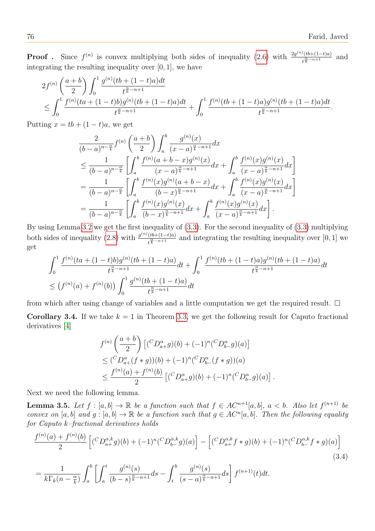**Proof**. Since  $f^{(n)}$  is convex multiplying both sides of inequality [\(2.6\)](#page-3-4) with  $\frac{2g^{(n)}(tb+(1-t)a)}{s-a+1}$  $\frac{\sqrt{(t b + (1-t)a)}}{t^{\frac{\alpha}{k} - n + 1}}$  and integrating the resulting inequality over [0, 1], we have

$$
2f^{(n)}\left(\frac{a+b}{2}\right) \int_0^1 \frac{g^{(n)}(tb + (1-t)a)dt}{t^{\frac{\alpha}{k}-n+1}} \leq \int_0^1 \frac{f^{(n)}(ta + (1-t)b)g^{(n)}(tb + (1-t)a)dt}{t^{\frac{\alpha}{k}-n+1}} + \int_0^1 \frac{f^{(n)}(tb + (1-t)a)g^{(n)}(tb + (1-t)a)dt}{t^{\frac{\alpha}{k}-n+1}}.
$$

Putting  $x = tb + (1 - t)a$ , we get

$$
\frac{2}{(b-a)^{n-\frac{\alpha}{k}}}f^{(n)}\left(\frac{a+b}{2}\right)\int_{a}^{b}\frac{g^{(n)}(x)}{(x-a)^{\frac{\alpha}{k}-n+1}}dx
$$
\n
$$
\leq \frac{1}{(b-a)^{n-\frac{\alpha}{k}}}\left[\int_{a}^{b}\frac{f^{(n)}(a+b-x)g^{(n)}(x)}{(x-a)^{\frac{\alpha}{k}-n+1}}dx + \int_{a}^{b}\frac{f^{(n)}(x)g^{(n)}(x)}{(x-a)^{\frac{\alpha}{k}-n+1}}dx\right]
$$
\n
$$
= \frac{1}{(b-a)^{n-\frac{\alpha}{k}}}\left[\int_{a}^{b}\frac{f^{(n)}(x)g^{(n)}(a+b-x)}{(b-x)^{\frac{\alpha}{k}-n+1}}dx + \int_{a}^{b}\frac{f^{(n)}(x)g^{(n)}(x)}{(x-a)^{\frac{\alpha}{k}-n+1}}dx\right]
$$
\n
$$
= \frac{1}{(b-a)^{n-\frac{\alpha}{k}}}\left[\int_{a}^{b}\frac{f^{(n)}(x)g^{(n)}(x)}{(b-x)^{\frac{\alpha}{k}-n+1}}dx + \int_{a}^{b}\frac{f^{(n)}(x)g^{(n)}(x)}{(x-a)^{\frac{\alpha}{k}-n+1}}dx\right].
$$

By using Lemma [3.2](#page-6-0) we get the first inequality of [\(3.3\)](#page-6-1). For the second inequality of [\(3.3\)](#page-6-1) multiplying both sides of inequality [\(2.8\)](#page-3-5) with  $\frac{g^{(n)}(tb+(1-t)a)}{s-a+1}$  $\frac{(to+(1-t)a)}{t^{\frac{\alpha}{k}-n+1}}$  and integrating the resulting inequality over  $[0,1]$  we get

$$
\int_0^1 \frac{f^{(n)}(ta + (1-t)b)g^{(n)}(tb + (1-t)a)}{t^{\frac{\alpha}{k} - n + 1}} dt + \int_0^1 \frac{f^{(n)}(tb + (1-t)a)g^{(n)}(tb + (1-t)a)}{t^{\frac{\alpha}{k} - n + 1}} dt
$$
  

$$
\leq (f^{(n)}(a) + f^{(n)}(b)) \int_0^1 \frac{g^{(n)}(tb + (1-t)a)}{t^{\frac{\alpha}{k} - n + 1}} dt
$$

from which after using change of variables and a little computation we get the required result.  $\Box$ 

**Corollary 3.4.** If we take  $k = 1$  in Theorem [3.3,](#page-6-2) we get the following result for Caputo fractional derivatives [\[4\]](#page-12-9)

<span id="page-7-1"></span>
$$
f^{(n)}\left(\frac{a+b}{2}\right) \left[ ({}^{C}D_{a+}^{\alpha}g)(b) + (-1)^{n} ({}^{C}D_{b-}^{\alpha}g)(a) \right]
$$
  
\n
$$
\leq ({}^{C}D_{a+}^{\alpha}(f*g))(b) + (-1)^{n} ({}^{C}D_{b-}^{\alpha}(f*g))(a)
$$
  
\n
$$
\leq \frac{f^{(n)}(a) + f^{(n)}(b)}{2} \left[ ({}^{C}D_{a+}^{\alpha}g)(b) + (-1)^{n} ({}^{C}D_{b-}^{\alpha}g)(a) \right]
$$

<span id="page-7-0"></span>.

Next we need the following lemma.

**Lemma 3.5.** Let  $f : [a, b] \to \mathbb{R}$  be a function such that  $f \in AC^{n+1}[a, b]$ ,  $a < b$ . Also let  $f^{(n+1)}$  be convex on [a, b] and  $g: [a, b] \to \mathbb{R}$  be a function such that  $g \in AC^n[a, b]$ . Then the following equality for Caputo k–fractional derivatives holds

$$
\frac{f^{(n)}(a) + f^{(n)}(b)}{2} \left[ ({}^{C}D_{a+}^{\alpha,k}g)(b) + (-1)^n ({}^{C}D_{b-}^{\alpha,k}g)(a) \right] - \left[ ({}^{C}D_{a+}^{\alpha,k}f * g)(b) + (-1)^n ({}^{C}D_{b-}^{\alpha,k}f * g)(a) \right]
$$
\n
$$
= \frac{1}{k \Gamma_k (n - \frac{\alpha}{k})} \int_a^b \left[ \int_a^t \frac{g^{(n)}(s)}{(b-s)^{\frac{\alpha}{k}-n+1}} ds - \int_t^b \frac{g^{(n)}(s)}{(s-a)^{\frac{\alpha}{k}-n+1}} ds \right] f^{(n+1)}(t) dt.
$$
\n(3.4)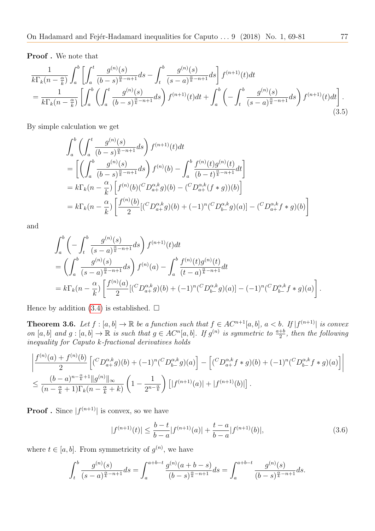Proof . We note that

$$
\frac{1}{k\Gamma_k(n-\frac{\alpha}{k})}\int_a^b \left[\int_a^t \frac{g^{(n)}(s)}{(b-s)^{\frac{\alpha}{k}-n+1}}ds - \int_t^b \frac{g^{(n)}(s)}{(s-a)^{\frac{\alpha}{k}-n+1}}ds\right]f^{(n+1)}(t)dt \n= \frac{1}{k\Gamma_k(n-\frac{\alpha}{k})}\left[\int_a^b \left(\int_a^t \frac{g^{(n)}(s)}{(b-s)^{\frac{\alpha}{k}-n+1}}ds\right)f^{(n+1)}(t)dt + \int_a^b \left(-\int_t^b \frac{g^{(n)}(s)}{(s-a)^{\frac{\alpha}{k}-n+1}}ds\right)f^{(n+1)}(t)dt\right].
$$
\n(3.5)

By simple calculation we get

$$
\int_{a}^{b} \left( \int_{a}^{t} \frac{g^{(n)}(s)}{(b-s)^{\frac{\alpha}{k}-n+1}} ds \right) f^{(n+1)}(t) dt
$$
\n
$$
= \left[ \left( \int_{a}^{b} \frac{g^{(n)}(s)}{(b-s)^{\frac{\alpha}{k}-n+1}} ds \right) f^{(n)}(b) - \int_{a}^{b} \frac{f^{(n)}(t)g^{(n)}(t)}{(b-t)^{\frac{\alpha}{k}-n+1}} dt \right]
$$
\n
$$
= k \Gamma_{k}(n - \frac{\alpha}{k}) \left[ f^{(n)}(b) (^{C} D_{a+}^{\alpha,k} g)(b) - (^{C} D_{a+}^{\alpha,k}(f*g))(b) \right]
$$
\n
$$
= k \Gamma_{k}(n - \frac{\alpha}{k}) \left[ \frac{f^{(n)}(b)}{2} [ (^{C} D_{a+}^{\alpha,k} g)(b) + (-1)^{n} (^{C} D_{b-}^{\alpha,k} g)(a) ] - (^{C} D_{a+}^{\alpha,k} f * g)(b) \right]
$$

and

$$
\int_{a}^{b} \left( -\int_{t}^{b} \frac{g^{(n)}(s)}{(s-a)^{\frac{\alpha}{k}-n+1}} ds \right) f^{(n+1)}(t) dt
$$
\n
$$
= \left( \int_{a}^{b} \frac{g^{(n)}(s)}{(s-a)^{\frac{\alpha}{k}-n+1}} ds \right) f^{(n)}(a) - \int_{a}^{b} \frac{f^{(n)}(t)g^{(n)}(t)}{(t-a)^{\frac{\alpha}{k}-n+1}} dt
$$
\n
$$
= k \Gamma_{k}(n - \frac{\alpha}{k}) \left[ \frac{f^{(n)}(a)}{2} [(C D_{a+}^{\alpha,k} g)(b) + (-1)^{n} (C D_{b-}^{\alpha,k} g)(a)] - (-1)^{n} (C D_{b-}^{\alpha,k} f * g)(a) \right].
$$

Hence by addition [\(3.4\)](#page-7-0) is established.  $\square$ 

<span id="page-8-1"></span>**Theorem 3.6.** Let  $f : [a, b] \to \mathbb{R}$  be a function such that  $f \in AC^{n+1}[a, b]$ ,  $a < b$ . If  $|f^{(n+1)}|$  is convex on  $[a, b]$  and  $g : [a, b] \to \mathbb{R}$  is such that  $g \in AC^n[a, b]$ . If  $g^{(n)}$  is symmetric to  $\frac{a+b}{2}$ , then the following inequality for Caputo k-fractional derivatives holds

$$
\left| \frac{f^{(n)}(a) + f^{(n)}(b)}{2} \left[ (^C D_{a+}^{\alpha,k} g)(b) + (-1)^n (^C D_{b-}^{\alpha,k} g)(a) \right] - \left[ (^C D_{a+}^{\alpha,k} f * g)(b) + (-1)^n (^C D_{b-}^{\alpha,k} f * g)(a) \right] \right|
$$
  

$$
\leq \frac{(b-a)^{n-\frac{\alpha}{k}+1} ||g^{(n)}||_{\infty}}{(n-\frac{\alpha}{k}+1) \Gamma_k (n-\frac{\alpha}{k}+k)} \left( 1 - \frac{1}{2^{n-\frac{\alpha}{k}}} \right) \left[ |f^{(n+1)}(a)| + |f^{(n+1)}(b)| \right].
$$

**Proof**. Since  $|f^{(n+1)}|$  is convex, so we have

<span id="page-8-0"></span>
$$
|f^{(n+1)}(t)| \le \frac{b-t}{b-a} |f^{(n+1)}(a)| + \frac{t-a}{b-a} |f^{(n+1)}(b)|,\tag{3.6}
$$

where  $t \in [a, b]$ . From symmetricity of  $g^{(n)}$ , we have

$$
\int_{t}^{b} \frac{g^{(n)}(s)}{(s-a)^{\frac{\alpha}{k}-n+1}} ds = \int_{a}^{a+b-t} \frac{g^{(n)}(a+b-s)}{(b-s)^{\frac{\alpha}{k}-n+1}} ds = \int_{a}^{a+b-t} \frac{g^{(n)}(s)}{(b-s)^{\frac{\alpha}{k}-n+1}} ds.
$$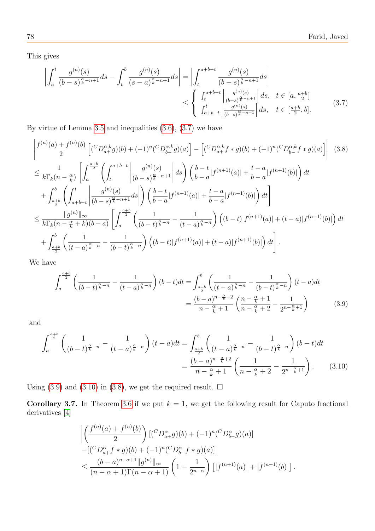This gives

<span id="page-9-3"></span><span id="page-9-0"></span>
$$
\left| \int_{a}^{t} \frac{g^{(n)}(s)}{(b-s)^{\frac{\alpha}{k}-n+1}} ds - \int_{t}^{b} \frac{g^{(n)}(s)}{(s-a)^{\frac{\alpha}{k}-n+1}} ds \right| = \left| \int_{t}^{a+b-t} \frac{g^{(n)}(s)}{(b-s)^{\frac{\alpha}{k}-n+1}} ds \right|
$$
  

$$
\leq \begin{cases} \int_{t}^{a+b-t} \left| \frac{g^{(n)}(s)}{(b-s)^{\frac{\alpha}{k}-n+1}} \right| ds, & t \in [a, \frac{a+b}{2}] \\ \int_{a+b-t}^{t} \left| \frac{g^{(n)}(s)}{(b-s)^{\frac{\alpha}{k}-n+1}} \right| ds, & t \in [\frac{a+b}{2}, b]. \end{cases}
$$
(3.7)

By virtue of Lemma [3.5](#page-7-1) and inequalities [\(3.6\)](#page-8-0), [\(3.7\)](#page-9-0) we have

$$
\left| \frac{f^{(n)}(a) + f^{(n)}(b)}{2} \left[ ({}^{C}D_{a+}^{\alpha,k}g)(b) + (-1)^{n} ({}^{C}D_{b-}^{\alpha,k}g)(a) \right] - \left[ ({}^{C}D_{a+}^{\alpha,k}f * g)(b) + (-1)^{n} ({}^{C}D_{b-}^{\alpha,k}f * g)(a) \right] \right| \quad (3.8)
$$
\n
$$
\leq \frac{1}{k \Gamma_{k}(n - \frac{\alpha}{k})} \left[ \int_{a}^{\frac{a+b}{2}} \left( \int_{t}^{a+b-t} \left| \frac{g^{(n)}(s)}{(b-s)^{\frac{\alpha}{k}-n+1}} \right| ds \right) \left( \frac{b-t}{b-a} |f^{(n+1)}(a)| + \frac{t-a}{b-a} |f^{(n+1)}(b)| \right) dt + \int_{\frac{a+b}{2}}^{b} \left( \int_{a+b-t}^{t} \left| \frac{g^{(n)}(s)}{(b-s)^{\frac{\alpha}{k}-n+1}} ds \right| \right) \left( \frac{b-t}{b-a} |f^{(n+1)}(a)| + \frac{t-a}{b-a} |f^{(n+1)}(b)| \right) dt \right]
$$
\n
$$
\leq \frac{||g^{(n)}||_{\infty}}{k \Gamma_{k}(n - \frac{\alpha}{k} + k)(b-a)} \left[ \int_{a}^{\frac{a+b}{2}} \left( \frac{1}{(b-t)^{\frac{\alpha}{k}-n}} - \frac{1}{(t-a)^{\frac{\alpha}{k}-n}} \right) \left( (b-t) |f^{(n+1)}(a)| + (t-a) |f^{(n+1)}(b)| \right) dt + \int_{\frac{a+b}{2}}^{b} \left( \frac{1}{(t-a)^{\frac{\alpha}{k}-n}} - \frac{1}{(b-t)^{\frac{\alpha}{k}-n}} \right) \left( (b-t) |f^{(n+1)}(a)| + (t-a) |f^{(n+1)}(b)| \right) dt \right].
$$

We have

<span id="page-9-1"></span>
$$
\int_{a}^{\frac{a+b}{2}} \left( \frac{1}{(b-t)^{\frac{\alpha}{k}} - n} - \frac{1}{(t-a)^{\frac{\alpha}{k}} - n} \right) (b-t) dt = \int_{\frac{a+b}{2}}^{b} \left( \frac{1}{(t-a)^{\frac{\alpha}{k}} - n} - \frac{1}{(b-t)^{\frac{\alpha}{k}} - n} \right) (t-a) dt
$$

$$
= \frac{(b-a)^{n-\frac{\alpha}{k}+2}}{n-\frac{\alpha}{k}+1} \left( \frac{n-\frac{\alpha}{k}+1}{n-\frac{\alpha}{k}+2} - \frac{1}{2^{n-\frac{\alpha}{k}+1}} \right) \tag{3.9}
$$

and

$$
\int_{a}^{\frac{a+b}{2}} \left( \frac{1}{(b-t)^{\frac{\alpha}{k}-n}} - \frac{1}{(t-a)^{\frac{\alpha}{k}-n}} \right) (t-a) dt = \int_{\frac{a+b}{2}}^{b} \left( \frac{1}{(t-a)^{\frac{\alpha}{k}-n}} - \frac{1}{(b-t)^{\frac{\alpha}{k}-n}} \right) (b-t) dt
$$

$$
= \frac{(b-a)^{n-\frac{\alpha}{k}+2}}{n-\frac{\alpha}{k}+1} \left( \frac{1}{n-\frac{\alpha}{k}+2} - \frac{1}{2^{n-\frac{\alpha}{k}+1}} \right). \tag{3.10}
$$

Using [\(3.9\)](#page-9-1) and [\(3.10\)](#page-9-2) in [\(3.8\)](#page-9-3), we get the required result.  $\Box$ 

**Corollary 3.7.** In Theorem [3.6](#page-8-1) if we put  $k = 1$ , we get the following result for Caputo fractional derivatives [\[4\]](#page-12-9)

<span id="page-9-2"></span>
$$
\left| \left( \frac{f^{(n)}(a) + f^{(n)}(b)}{2} \right) \left[ \left( {}^{C}D_{a+}^{\alpha}g \right) (b) + (-1)^n ({}^{C}D_{b-}^{\alpha}g) (a) \right] \right|
$$
  
 
$$
- \left[ \left( {}^{C}D_{a+}^{\alpha}f * g \right) (b) + (-1)^n ({}^{C}D_{b-}^{\alpha}f * g) (a) \right] \right|
$$
  
 
$$
\leq \frac{(b-a)^{n-\alpha+1} \|g^{(n)}\|_{\infty}}{(n-\alpha+1)\Gamma(n-\alpha+1)} \left(1 - \frac{1}{2^{n-\alpha}} \right) \left[ |f^{(n+1)}(a)| + |f^{(n+1)}(b)| \right].
$$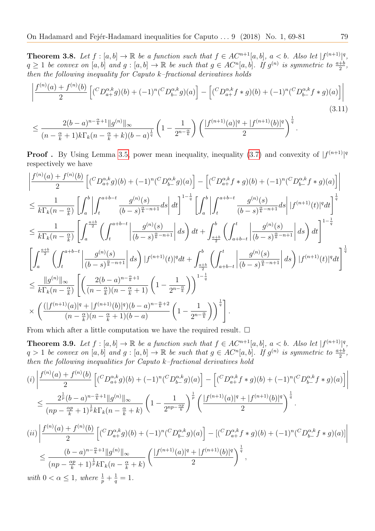**Theorem 3.8.** Let  $f : [a, b] \to \mathbb{R}$  be a function such that  $f \in AC^{n+1}[a, b]$ ,  $a < b$ . Also let  $|f^{(n+1)}|^q$ ,  $q \ge 1$  be convex on  $[a, b]$  and  $g : [a, b] \to \mathbb{R}$  be such that  $g \in AC^n[a, b]$ . If  $g^{(n)}$  is symmetric to  $\frac{a+b}{2}$ , then the following inequality for Caputo  $k$ -fractional derivatives holds

$$
\left| \frac{f^{(n)}(a) + f^{(n)}(b)}{2} \left[ ({}^{C}D_{a+}^{\alpha,k}g)(b) + (-1)^n ({}^{C}D_{b-}^{\alpha,k}g)(a) \right] - \left[ ({}^{C}D_{a+}^{\alpha,k}f * g)(b) + (-1)^n ({}^{C}D_{b-}^{\alpha,k}f * g)(a) \right] \right|
$$
\n
$$
\leq \frac{2(b-a)^{n-\frac{\alpha}{k}+1} \|g^{(n)}\|_{\infty}}{(n-\frac{\alpha}{k}+1)k \Gamma_k (n-\frac{\alpha}{k}+k)(b-a)^{\frac{1}{q}}} \left(1-\frac{1}{2^{n-\frac{\alpha}{k}}}\right) \left( \frac{|f^{(n+1)}(a)|^q + |f^{(n+1)}(b)|^q}{2} \right)^{\frac{1}{q}}.
$$
\n(3.11)

**Proof**. By Using Lemma [3.5,](#page-7-1) power mean inequality, inequality [\(3.7\)](#page-9-0) and convexity of  $|f^{(n+1)}|^q$ respectively we have

$$
\begin{split}\label{eq:20} &\left|\frac{f^{(n)}(a)+f^{(n)}(b)}{2}\left[(^C D^{\alpha,k}_{a+}g)(b)+(-1)^n(^C D^{\alpha,k}_{b-}g)(a)\right]-\left[(^C D^{\alpha,k}_{a+}f*g)(b)+(-1)^n(^C D^{\alpha,k}_{b-}f*g)(a)\right]\right|\\ &\leq \frac{1}{k\Gamma_k(n-\frac{\alpha}{k})}\left[\int_a^b\left|\int_t^{a+b-t}\frac{g^{(n)}(s)}{(b-s)^{\frac{\alpha}{k}-n+1}}ds\right|dt\right]^{1-\frac{1}{q}}\left[\int_a^b\left|\int_t^{a+b-t}\frac{g^{(n)}(s)}{(b-s)^{\frac{\alpha}{k}-n+1}}ds\right| |f^{(n+1)}(t)|^q dt\right]^{\frac{1}{q}}\\ &\leq \frac{1}{k\Gamma_k(n-\frac{\alpha}{k})}\left[\int_a^{\frac{a+b}{2}}\left(\int_t^{a+b-t}\left|\frac{g^{(n)}(s)}{(b-s)^{\frac{\alpha}{k}-n+1}}\right|ds\right)dt+\int_{\frac{a+b}{2}}^b\left(\int_{a+b-t}^t\left|\frac{g^{(n)}(s)}{(b-s)^{\frac{\alpha}{k}-n+1}}\right|ds\right)dt\right]^{1-\frac{1}{q}}\\ &\left[\int_a^{\frac{a+b}{2}}\left(\int_t^{a+b-t}\left|\frac{g^{(n)}(s)}{(b-s)^{\frac{\alpha}{k}-n+1}}\right|ds\right)|f^{(n+1)}(t)|^q dt+\int_{\frac{a+b}{2}}^b\left(\int_{a+b-t}^t\left|\frac{g^{(n)}(s)}{(b-s)^{\frac{\alpha}{k}-n+1}}\right|ds\right)|f^{(n+1)}(t)|^q dt\right]^{\frac{1}{q}}\\ &\leq \frac{||g^{(n)}||_{\infty}}{k\Gamma_k(n-\frac{\alpha}{k})}\left[\left(\frac{2(b-a)^{n-\frac{\alpha}{k}+1}}{(n-\frac{\alpha}{k})(n-\frac{\alpha}{k}+1)}\left(1-\frac{1}{2^{n-\frac{\alpha}{k}}}\right)\right)^{\frac{1}{q}}\right]. \end{split}
$$

From which after a little computation we have the required result.  $\Box$ 

**Theorem 3.9.** Let  $f : [a, b] \to \mathbb{R}$  be a function such that  $f \in AC^{n+1}[a, b]$ ,  $a < b$ . Also let  $|f^{(n+1)}|^q$ ,  $q > 1$  be convex on  $[a, b]$  and  $g : [a, b] \to \mathbb{R}$  be such that  $g \in AC^n[a, b]$ . If  $g^{(n)}$  is symmetric to  $\frac{a+b}{2}$ , then the following inequalities for Caputo k–fractional derivatives hold

$$
(i) \left| \frac{f^{(n)}(a) + f^{(n)}(b)}{2} \left[ ({}^{C}D_{a+}^{\alpha,k}g)(b) + (-1)^{n} ({}^{C}D_{b-}^{\alpha,k}g)(a) \right] - \left[ ({}^{C}D_{a+}^{\alpha,k}f * g)(b) + (-1)^{n} ({}^{C}D_{b-}^{\alpha,k}f * g)(a) \right] \right|
$$
  
\n
$$
\leq \frac{2^{\frac{1}{p}}(b-a)^{n-\frac{\alpha}{k}+1} \|g^{(n)}\|_{\infty}}{(np - \frac{\alpha p}{k} + 1)^{\frac{1}{p}} k \Gamma_{k}(n - \frac{\alpha}{k} + k)} \left( 1 - \frac{1}{2^{np - \frac{\alpha p}{k}}} \right)^{\frac{1}{p}} \left( \frac{|f^{(n+1)}(a)|^{q} + |f^{(n+1)}(b)|^{q}}{2} \right)^{\frac{1}{q}}.
$$
  
\n
$$
(ii) \left| \frac{f^{(n)}(a) + f^{(n)}(b)}{2} \left[ ({}^{C}D_{a+}^{\alpha,k}g)(b) + (-1)^{n} ({}^{C}D_{b-}^{\alpha,k}g)(a) \right] - \left[ ({}^{C}D_{a+}^{\alpha,k}f * g)(b) + (-1)^{n} ({}^{C}D_{b-}^{\alpha,k}f * g)(a) \right] \right|
$$
  
\n
$$
\leq \frac{(b-a)^{n-\frac{\alpha}{k}+1} \|g^{(n)}\|_{\infty}}{(np - \frac{\alpha p}{k} + 1)^{\frac{1}{p}} k \Gamma_{k}(n - \frac{\alpha}{k} + k)} \left( \frac{|f^{(n+1)}(a)|^{q} + |f^{(n+1)}(b)|^{q}}{2} \right)^{\frac{1}{q}},
$$
  
\nwith  $0 < \alpha \leq 1$ , where  $\frac{1}{p} + \frac{1}{q} = 1$ .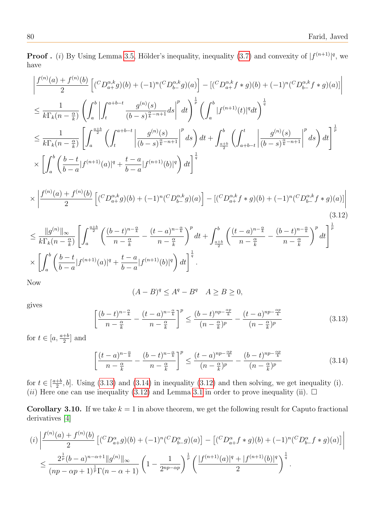**Proof.** (i) By Using Lemma [3.5,](#page-7-1) Hölder's inequality, inequality [\(3.7\)](#page-9-0) and convexity of  $|f^{(n+1)}|^q$ , we have

$$
\left| \frac{f^{(n)}(a) + f^{(n)}(b)}{2} \left[ ({}^{C}D_{a+}^{\alpha,k}g)(b) + (-1)^{n} ({}^{C}D_{b-}^{\alpha,k}g)(a) \right] - [({}^{C}D_{a+}^{\alpha,k}f * g)(b) + (-1)^{n} ({}^{C}D_{b-}^{\alpha,k}f * g)(a)] \right|
$$
  
\n
$$
\leq \frac{1}{k \Gamma_{k}(n - \frac{\alpha}{k})} \left( \int_{a}^{b} \left| \int_{t}^{a+b-t} \frac{g^{(n)}(s)}{(b-s)^{\frac{\alpha}{k}-n+1}} ds \right|^{p} dt \right)^{\frac{1}{p}} \left( \int_{a}^{b} |f^{(n+1)}(t)|^{q} dt \right)^{\frac{1}{q}}
$$
  
\n
$$
\leq \frac{1}{k \Gamma_{k}(n - \frac{\alpha}{k})} \left[ \int_{a}^{\frac{a+b}{2}} \left( \int_{t}^{a+b-t} \left| \frac{g^{(n)}(s)}{(b-s)^{\frac{\alpha}{k}-n+1}} \right|^{p} ds \right) dt + \int_{\frac{a+b}{2}}^{b} \left( \int_{a+b-t}^{t} \left| \frac{g^{(n)}(s)}{(b-s)^{\frac{\alpha}{k}-n+1}} \right|^{p} ds \right) dt \right]^{\frac{1}{p}}
$$
  
\n
$$
\times \left[ \int_{a}^{b} \left( \frac{b-t}{b-a} |f^{(n+1)}(a)|^{q} + \frac{t-a}{b-a} |f^{(n+1)}(b)|^{q} \right) dt \right]^{\frac{1}{q}}
$$

$$
\times \left| \frac{f^{(n)}(a) + f^{(n)}(b)}{2} \left[ \left( {}^{C}D_{a+}^{\alpha,k}g \right)(b) + (-1)^n ({}^{C}D_{b-}^{\alpha,k}g)(a) \right] - \left[ \left( {}^{C}D_{a+}^{\alpha,k}f * g \right)(b) + (-1)^n ({}^{C}D_{b-}^{\alpha,k}f * g)(a) \right] \right| \tag{3.12}
$$

$$
\leq \frac{\|g^{(n)}\|_{\infty}}{k\Gamma_k(n-\frac{\alpha}{k})} \left[ \int_a^{\frac{a+b}{2}} \left( \frac{(b-t)^{n-\frac{\alpha}{k}}}{n-\frac{\alpha}{k}} - \frac{(t-a)^{n-\frac{\alpha}{k}}}{n-\frac{\alpha}{k}} \right)^p dt + \int_{\frac{a+b}{2}}^b \left( \frac{(t-a)^{n-\frac{\alpha}{k}}}{n-\frac{\alpha}{k}} - \frac{(b-t)^{n-\frac{\alpha}{k}}}{n-\frac{\alpha}{k}} \right)^p dt \right]^{\frac{1}{p}}
$$
  
\$\times \left[ \int\_a^b \left( \frac{b-t}{b-a} |f^{(n+1)}(a)|^q + \frac{t-a}{b-a} |f^{(n+1)}(b)|^q \right) dt \right]^{\frac{1}{q}}\$.

Now

<span id="page-11-2"></span>
$$
(A - B)^q \le A^q - B^q \quad A \ge B \ge 0,
$$

gives

<span id="page-11-0"></span>
$$
\left[\frac{(b-t)^{n-\frac{\alpha}{k}}}{n-\frac{\alpha}{k}} - \frac{(t-a)^{n-\frac{\alpha}{k}}}{n-\frac{\alpha}{k}}\right]^p \le \frac{(b-t)^{np-\frac{\alpha p}{k}}}{(n-\frac{\alpha}{k})^p} - \frac{(t-a)^{np-\frac{\alpha p}{k}}}{(n-\frac{\alpha}{k})^p}
$$
(3.13)

for  $t \in [a, \frac{a+b}{2}]$  and

<span id="page-11-1"></span>
$$
\left[\frac{(t-a)^{n-\frac{\alpha}{k}}}{n-\frac{\alpha}{k}}-\frac{(b-t)^{n-\frac{\alpha}{k}}}{n-\frac{\alpha}{k}}\right]^p \le \frac{(t-a)^{np-\frac{\alpha p}{k}}}{(n-\frac{\alpha}{k})^p} - \frac{(b-t)^{np-\frac{\alpha p}{k}}}{(n-\frac{\alpha}{k})^p}
$$
(3.14)

for  $t \in \left[\frac{a+b}{2}\right]$  $\frac{+b}{2}$ , b]. Using [\(3.13\)](#page-11-0) and [\(3.14\)](#page-11-1) in inequality [\(3.12\)](#page-11-2) and then solving, we get inequality (i). (*ii*) Here one can use inequality [\(3.12\)](#page-11-2) and Lemma [3.1](#page-5-1) in order to prove inequality (ii).  $\Box$ 

**Corollary 3.10.** If we take  $k = 1$  in above theorem, we get the following result for Caputo fractional derivatives [\[4\]](#page-12-9)

$$
(i) \left| \frac{f^{(n)}(a) + f^{(n)}(b)}{2} \left[ ({}^{C}D_{a+}^{\alpha}g)(b) + (-1)^n ({}^{C}D_{b-}^{\alpha}g)(a) \right] - \left[ ({}^{C}D_{a+}^{\alpha}f * g)(b) + (-1)^n ({}^{C}D_{b-}^{\alpha}f * g)(a) \right] \right|
$$
  

$$
\leq \frac{2^{\frac{1}{p}}(b-a)^{n-\alpha+1} \|g^{(n)}\|_{\infty}}{(np - \alpha p + 1)^{\frac{1}{p}} \Gamma(n - \alpha + 1)} \left( 1 - \frac{1}{2^{np - \alpha p}} \right)^{\frac{1}{p}} \left( \frac{|f^{(n+1)}(a)|^q + |f^{(n+1)}(b)|^q}{2} \right)^{\frac{1}{q}}.
$$